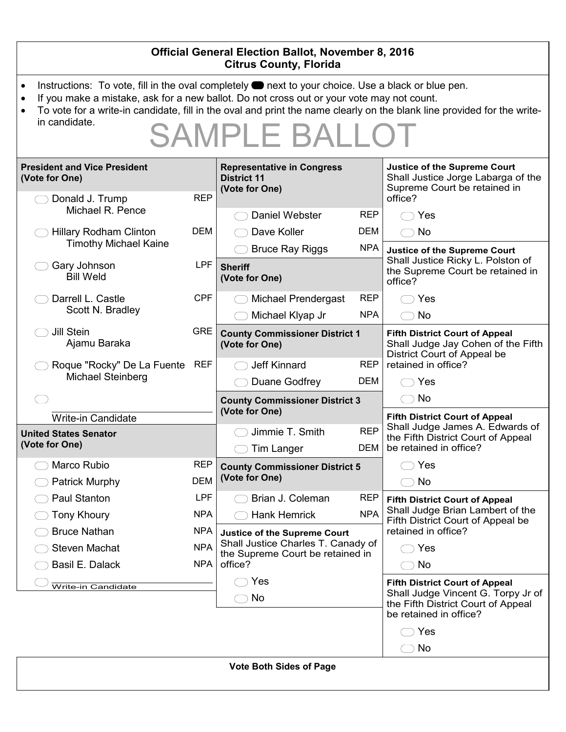| <b>Official General Election Ballot, November 8, 2016</b><br><b>Citrus County, Florida</b>                                                                                                                                                                                                                                                                                               |            |                                                                        |                                       |                                                                                                                      |  |  |
|------------------------------------------------------------------------------------------------------------------------------------------------------------------------------------------------------------------------------------------------------------------------------------------------------------------------------------------------------------------------------------------|------------|------------------------------------------------------------------------|---------------------------------------|----------------------------------------------------------------------------------------------------------------------|--|--|
| Instructions: To vote, fill in the oval completely $\bullet$ next to your choice. Use a black or blue pen.<br>If you make a mistake, ask for a new ballot. Do not cross out or your vote may not count.<br>$\bullet$<br>To vote for a write-in candidate, fill in the oval and print the name clearly on the blank line provided for the write-<br>in candidate.<br><b>SAMPLE BALLOT</b> |            |                                                                        |                                       |                                                                                                                      |  |  |
| <b>President and Vice President</b><br>(Vote for One)                                                                                                                                                                                                                                                                                                                                    |            | <b>Representative in Congress</b><br><b>District 11</b>                |                                       | <b>Justice of the Supreme Court</b><br>Shall Justice Jorge Labarga of the<br>Supreme Court be retained in<br>office? |  |  |
|                                                                                                                                                                                                                                                                                                                                                                                          |            | (Vote for One)                                                         |                                       |                                                                                                                      |  |  |
| Donald J. Trump<br>Michael R. Pence                                                                                                                                                                                                                                                                                                                                                      | <b>REP</b> | Daniel Webster                                                         | <b>REP</b>                            | $\bigcirc$ Yes                                                                                                       |  |  |
| <b>Hillary Rodham Clinton</b>                                                                                                                                                                                                                                                                                                                                                            | <b>DEM</b> | Dave Koller                                                            | DEM                                   | $\bigcirc$ No                                                                                                        |  |  |
| <b>Timothy Michael Kaine</b>                                                                                                                                                                                                                                                                                                                                                             |            | <b>Bruce Ray Riggs</b>                                                 | <b>NPA</b>                            | <b>Justice of the Supreme Court</b>                                                                                  |  |  |
| Gary Johnson<br><b>Bill Weld</b>                                                                                                                                                                                                                                                                                                                                                         | <b>LPF</b> | <b>Sheriff</b><br>(Vote for One)                                       |                                       | Shall Justice Ricky L. Polston of<br>the Supreme Court be retained in<br>office?                                     |  |  |
| Darrell L. Castle<br>Scott N. Bradley                                                                                                                                                                                                                                                                                                                                                    | <b>CPF</b> | <b>Michael Prendergast</b>                                             | <b>REP</b>                            | $\bigcirc$ Yes                                                                                                       |  |  |
|                                                                                                                                                                                                                                                                                                                                                                                          |            | Michael Klyap Jr                                                       | <b>NPA</b>                            | $\bigcirc$ No                                                                                                        |  |  |
| Jill Stein<br>Ajamu Baraka                                                                                                                                                                                                                                                                                                                                                               | <b>GRE</b> | <b>County Commissioner District 1</b><br>(Vote for One)                |                                       | <b>Fifth District Court of Appeal</b><br>Shall Judge Jay Cohen of the Fifth<br>District Court of Appeal be           |  |  |
| Roque "Rocky" De La Fuente<br>Michael Steinberg                                                                                                                                                                                                                                                                                                                                          | REF        | <b>Jeff Kinnard</b>                                                    | <b>REP</b>                            | retained in office?                                                                                                  |  |  |
|                                                                                                                                                                                                                                                                                                                                                                                          |            | Duane Godfrey                                                          | DEM                                   | $\bigcirc$ Yes                                                                                                       |  |  |
|                                                                                                                                                                                                                                                                                                                                                                                          |            | <b>County Commissioner District 3</b>                                  |                                       | $\bigcirc$ No                                                                                                        |  |  |
| <b>Write-in Candidate</b>                                                                                                                                                                                                                                                                                                                                                                |            | (Vote for One)                                                         | <b>Fifth District Court of Appeal</b> |                                                                                                                      |  |  |
| <b>United States Senator</b><br>(Vote for One)                                                                                                                                                                                                                                                                                                                                           |            | Jimmie T. Smith<br><b>Tim Langer</b>                                   | <b>REP</b><br>DEM                     | Shall Judge James A. Edwards of<br>the Fifth District Court of Appeal<br>be retained in office?                      |  |  |
| Marco Rubio                                                                                                                                                                                                                                                                                                                                                                              | <b>REP</b> | <b>County Commissioner District 5</b>                                  |                                       | Yes                                                                                                                  |  |  |
| Patrick Murphy                                                                                                                                                                                                                                                                                                                                                                           | <b>DEM</b> | (Vote for One)                                                         |                                       | <b>No</b><br>$\left( \begin{array}{cc} \end{array} \right)$                                                          |  |  |
| Paul Stanton                                                                                                                                                                                                                                                                                                                                                                             | <b>LPF</b> | Brian J. Coleman                                                       | <b>REP</b>                            | <b>Fifth District Court of Appeal</b>                                                                                |  |  |
| <b>Tony Khoury</b>                                                                                                                                                                                                                                                                                                                                                                       | <b>NPA</b> | <b>Hank Hemrick</b>                                                    | <b>NPA</b>                            | Shall Judge Brian Lambert of the<br>Fifth District Court of Appeal be                                                |  |  |
| <b>Bruce Nathan</b>                                                                                                                                                                                                                                                                                                                                                                      | <b>NPA</b> | <b>Justice of the Supreme Court</b>                                    |                                       | retained in office?                                                                                                  |  |  |
| <b>Steven Machat</b>                                                                                                                                                                                                                                                                                                                                                                     | <b>NPA</b> | Shall Justice Charles T. Canady of<br>the Supreme Court be retained in |                                       | $\supset$ Yes                                                                                                        |  |  |
| Basil E. Dalack                                                                                                                                                                                                                                                                                                                                                                          | <b>NPA</b> | office?                                                                |                                       | $\bigcirc$ No                                                                                                        |  |  |
| Write-in Candidate                                                                                                                                                                                                                                                                                                                                                                       |            | Yes                                                                    |                                       | <b>Fifth District Court of Appeal</b><br>Shall Judge Vincent G. Torpy Jr of                                          |  |  |
|                                                                                                                                                                                                                                                                                                                                                                                          |            | No<br>$\rightarrow$                                                    |                                       | the Fifth District Court of Appeal<br>be retained in office?                                                         |  |  |
|                                                                                                                                                                                                                                                                                                                                                                                          |            |                                                                        |                                       | $\bigcirc$ Yes                                                                                                       |  |  |
|                                                                                                                                                                                                                                                                                                                                                                                          |            |                                                                        |                                       | No<br>$( \quad )$                                                                                                    |  |  |
| <b>Vote Both Sides of Page</b>                                                                                                                                                                                                                                                                                                                                                           |            |                                                                        |                                       |                                                                                                                      |  |  |